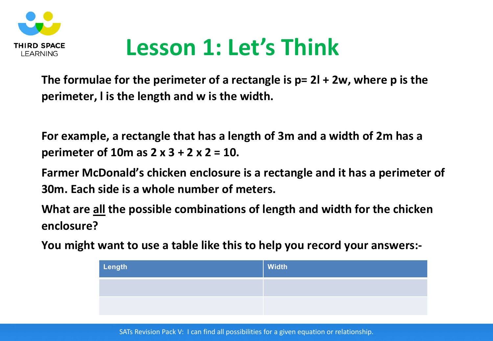

## **Lesson 1: Let's Think**

**The formulae for the perimeter of a rectangle is p= 2l + 2w, where p is the perimeter, l is the length and w is the width.** 

**For example, a rectangle that has a length of 3m and a width of 2m has a perimeter of 10m as 2 x 3 + 2 x 2 = 10.**

**Farmer McDonald's chicken enclosure is a rectangle and it has a perimeter of 30m. Each side is a whole number of meters.**

**What are all the possible combinations of length and width for the chicken enclosure?**

**You might want to use a table like this to help you record your answers:-**

| Length | Width |
|--------|-------|
|        |       |
|        |       |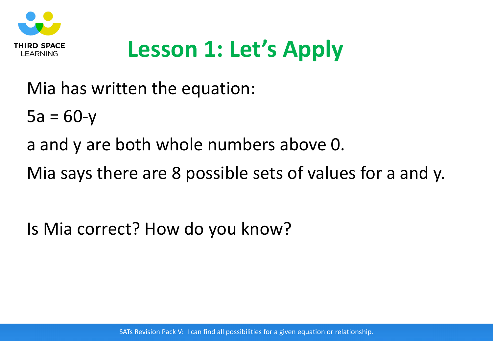

## **Lesson 1: Let's Apply**

Mia has written the equation:

 $5a = 60-y$ 

a and y are both whole numbers above 0.

Mia says there are 8 possible sets of values for a and y.

Is Mia correct? How do you know?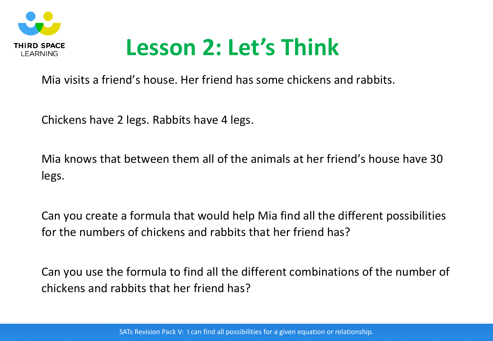

## **Lesson 2: Let's Think**

Mia visits a friend's house. Her friend has some chickens and rabbits.

Chickens have 2 legs. Rabbits have 4 legs.

Mia knows that between them all of the animals at her friend's house have 30 legs.

Can you create a formula that would help Mia find all the different possibilities for the numbers of chickens and rabbits that her friend has?

Can you use the formula to find all the different combinations of the number of chickens and rabbits that her friend has?